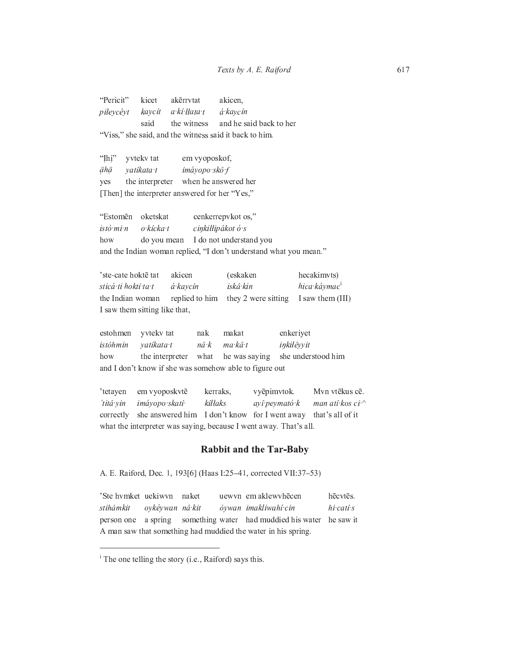"Pericit" kicet akērrvtat akicen, piłevcévt kavcít a kí llata t á kaycín said the witness and he said back to her "Viss," she said, and the witness said it back to him.

"Ihi" yvtekv tat em vyoposkof, ähä vatíkata t imávopo skô f the interpreter when he answered her ves [Then] the interpreter answered for her "Yes,"

"Estomēn oketskat cenkerrepvkot os," istó mi n o kícka t cinkillipákot ó s do you mean I do not understand you how and the Indian woman replied, "I don't understand what you mean."

'ste-cate hoktē tat akicen (eskaken hecakimvts) sticá ti hoktí ta t á kaycín iskâ kin hica káymac<sup>i</sup> the Indian woman replied to him they 2 were sitting I saw them (III) I saw them sitting like that,

yvtekv tat estohmen nak makat enkeriyet istóhmin vatíkata t  $n\hat{a}$   $k$ ma kâ t inkilêvvit how the interpreter what he was saying she understood him and I don't know if she was somehow able to figure out

Mvn vtēkus cē. 'tetayen em vyoposkvtē kerraks. vyēpimvtok. imáyopo skatí killaks ayî peymató k man atî kos ci ^ 'titâ yin she answered him I don't know for I went away that's all of it correctly what the interpreter was saying, because I went away. That's all.

## **Rabbit and the Tar-Baby**

A. E. Raiford, Dec. 1, 193[6] (Haas I:25-41, corrected VII:37-53)

'Ste hvmket uekiwvn naket uewyn em aklewyhēcen hēcvtēs. stihámkit oykéywan nâ kit óywan imakliwahî cin  $hi cati.s$ person one a spring something water had muddied his water he saw it A man saw that something had muddied the water in his spring.

<sup>&</sup>lt;sup>i</sup> The one telling the story (i.e., Raiford) says this.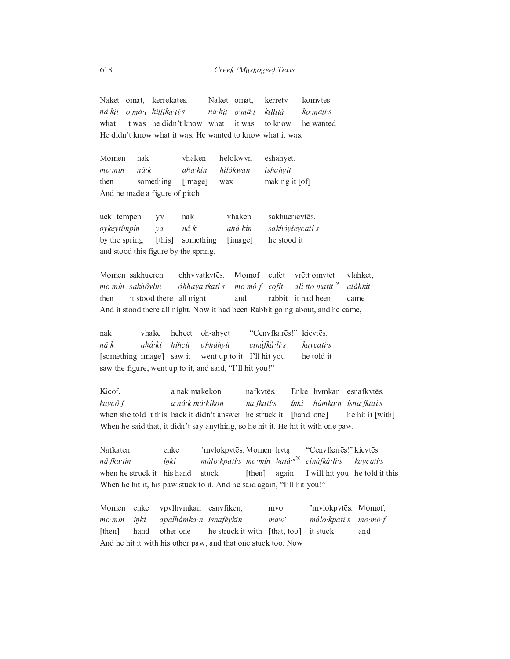Naket omat, kerrekatēs. Naket omat, kerretv komvtēs. nâ kit o mâ t killiká ti s nâ∙kit o∙mâ∙t killitá ko matí s it was he didn't know what he wanted what it was to know He didn't know what it was. He wanted to know what it was.

Momen nak vhaken helokwyn eshahyet, mo mín  $n\hat{a}$ · $k$ ahá kin hilókwan isháhyit then something [image] wax making it [of] And he made a figure of pitch

vhaken sakhuericvtēs. ueki-tempen **VV** nak sakhóyłeycatí s oykeytímpin nâ k ahá kin  $\mathcal{V}a$ by the spring  $[this]$ something [image] he stood it and stood this figure by the spring.

Momen sakhueren ohhvyatkvtēs. vlahket. Momof cufet vrētt omvtet ali tto matit<sup>19</sup> mo mín sakhôylin óhhaya tkatí s mo mô f cofit aláhkit rabbit it had been it stood there all night and came then And it stood there all night. Now it had been Rabbit going about, and he came,

nak vhake hehcet oh-ahyet "Cenvfkarēs!" kicvtēs. nâ•k ahá ki híhcit ohháhyit cináfká li s kaycati s went up to it I'll hit you he told it [something image] saw it saw the figure, went up to it, and said, "I'll hit you!"

a nak makekon Kicof, nafkvtēs. Enke hvmkan esnafkvtēs. a nâ k má kikon kaycô f na fkatí s  $\n *inki*\n$ hámka n ísna fkati s when she told it this back it didn't answer he struck it he hit it [with] [hand one] When he said that, it didn't say anything, so he hit it. He hit it with one paw.

Nafkaten enke 'mvlokpvtēs. Momen hvta "Cenvfkarēs!" kicvtēs. málo kpatí s mo mín hatâ <sup>n20</sup> nâ fka tin íŋki cináfká li s kaycati<sup>'</sup>s when he struck it his hand stuck [then] again I will hit you he told it this When he hit it, his paw stuck to it. And he said again, "I'll hit you!"

vpvlhvmkan esnvfiken, Momen enke mvo 'mvlokpvtēs. Momof, mo mín inki apalhámka n isnafêykin málo kpatí s  $mo \cdot m\hat{o} \cdot f$  $maw'$ other one he struck it with [that, too] [then] hand it stuck and And he hit it with his other paw, and that one stuck too. Now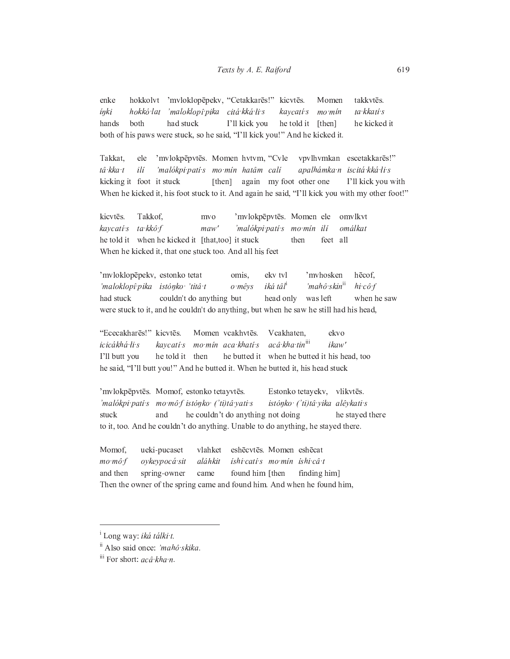'mvloklopēpekv, "Cetakkarēs!" kicvtēs. takkvtēs. enke hokkolvt Momen ínki hokkó lat 'maloklopî pika citá kká li s kaycati s  $mo·min$ ta kkatí s both had stuck I'll kick you he told it [then] he kicked it hands both of his paws were stuck, so he said, "I'll kick you!" And he kicked it.

Takkat. ele 'mvlokpēpvtēs. Momen hvtvm, "Cvle vpvlhvmkan escetakkarēs!" tâ kka t ilí 'malókpi patí s mo mín hatâm calí apalhámka n iscitá kká li s kicking it foot it stuck again my foot other one I'll kick you with [then] When he kicked it, his foot stuck to it. And again he said, "I'll kick you with my other foot!"

kicvtēs. Takkof, 'mvlokpēpvtēs. Momen ele omvlkvt  $mv<sub>0</sub>$ kavcati s ta kkô f  $maw'$ 'malókpi patí s mo mín ilí omálkat he told it when he kicked it [that.too] it stuck then feet all When he kicked it, that one stuck too. And all his feet

'mvloklopēpekv, estonko tetat ekv tvl 'myhosken hēcof. omis, 'mahô skin<sup>ii</sup> 'maloklopî pika istónko 'titâ t o mêys iká tâl<sup>i</sup>  $hi$ : $c\hat{o}$  f couldn't do anything but was left had stuck head only when he saw were stuck to it, and he couldn't do anything, but when he saw he still had his head,

"Ececakharēs!" kicvtēs. Momen vcakhytēs. Vcakhaten, ekvo acâ kha tin<sup>iii</sup> icicákhá li s mo min aca khati s ikaw' kavcatí s I'll butt you he told it then he butted it when he butted it his head, too he said, "I'll butt you!" And he butted it. When he butted it, his head stuck

'mvlokpēpvtēs. Momof, estonko tetayvtēs. Estonko tetayekv, vlikvtēs. 'malókpi patí s mo mô f istónko ('ti)tâ yati s istónko ('ti)tâ yika alêykati s he couldn't do anything not doing he stayed there stuck and to it, too. And he couldn't do anything. Unable to do anything, he stayed there.

Momof, ueki-pucaset vlahket eshēcvtēs. Momen eshēcat  $mo$   $m\hat{o}$  f oykeypocá·sit aláhkit íshi catí s mo mín íshi câ t and then spring-owner came found him [then] finding him] Then the owner of the spring came and found him. And when he found him,

<sup>&</sup>lt;sup>i</sup> Long way: *iká tálki t*.

<sup>&</sup>lt;sup>ii</sup> Also said once: 'mahô skika.

iii For short: acâ kha n.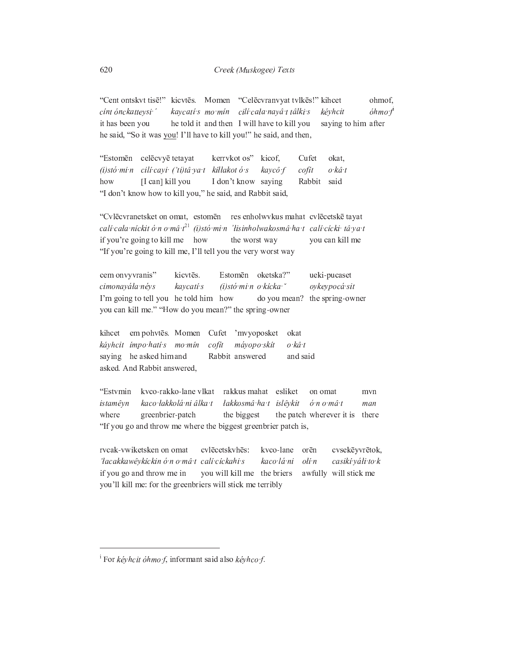"Cent ontskvt tisē!" kicvtēs. Momen "Celēcvranvyat tvlkēs!" kihcet ohmof, cínt ónckatteysi ' kaycati's momin cilí cała navâ t tâlki s kévhcit  $\delta h$ mo $\cdot f^i$ it has been you he told it and then I will have to kill you saying to him after he said, "So it was you! I'll have to kill you!" he said, and then,

"Estomēn celēcvyē tetayat kerrykot os" kicof. Cufet okat. (i)stó min cilí cayi ('ti)tâ ya t killakot ó s  $cofit$  $o\,k\hat{a}\,t$ kaycô f how [I can] kill you I don't know saying Rabbit said "I don't know how to kill you," he said, and Rabbit said,

"Cvlec vranetsket on omat, estomen res enholwykus mahat cylecetske tayat calí cala níckit ó n o mâ $\,t^{21}\,$  (i)stó mi n 'lisinholwakosmâ ha  $t$  -calí cícki $\,$  tâ ya  $t$ if you're going to kill me how the worst way you can kill me "If you're going to kill me, I'll tell you the very worst way

cem onvyvranis" kicvtēs. Estomēn oketska?" ueki-pucaset cimonayáła néys kaycati s  $(i)$ stó mi n o kícka $\cdot$ oykeypocá·sit I'm going to tell you he told him how do you mean? the spring-owner you can kill me." "How do you mean?" the spring-owner

kihcet em pohvtēs. Momen Cufet 'mvyoposket okat káyhcit ímpo hatí s mo mín  $cofit$ mávopo skít o kâ t saying he asked him and Rabbit answered and said asked. And Rabbit answered,

kvco-rakko-lane vlkat rakkus mahat esliket "Estymin on omat mvn kaco łakkolá ni âlka t łakkosmâ ha t islêykit  $\acute{o}$  n  $o$  m $\hat{a}$  t istamêyn  $man$ where greenbrier-patch the biggest the patch wherever it is there "If you go and throw me where the biggest greenbrier patch is,

rvcak-vwiketsken on omat cvlēcetskvhēs: kvco-lane cvsekē yvrētok, orēn 'łacakkawêykickin ó n o mâ t cali cickahi s kaco lá ni  $\delta$ in casikí váli to k if you go and throw me in you will kill me the briers awfully will stick me you'll kill me: for the greenbriers will stick me terribly

<sup>&</sup>lt;sup>i</sup> For kéyhcit óhmo f, informant said also kéyhco f.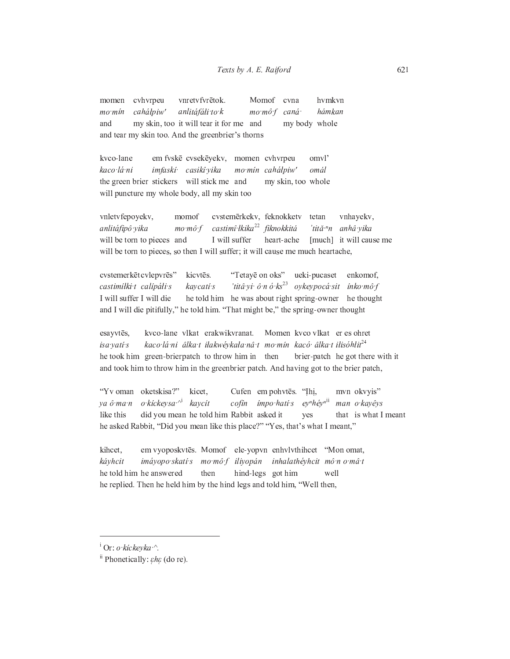vnretvfvrētok. hymkyn cvhvrpeu Momof cvna momen mo mín caháłpiw' anlitáfáli to k mo mô f caná hámkan my skin, too it will tear it for me and my body whole and and tear my skin too. And the greenbrier's thorns

kvco-lane em fyskē cysekēyekv, momen cvhvrpeu omvl' kaco lá ni casikî vika mo mín cahálpiw' imfaskí  $\alpha$ mál the green brier stickers will stick me and my skin, too whole will puncture my whole body, all my skin too

cvstemērkekv, feknokketv vnletvfepovekv, momof vnhavekv, tetan anlitáfipô vika  $mo \cdot m \hat{o} \cdot f$ castimî łkika<sup>22</sup> fiknokkitá 'tită "n anhâ vika [much] it will cause me will be torn to pieces and I will suffer heart-ache will be torn to pieces, so then I will suffer; it will cause me much heartache,

cvstemerkēt cvlepvrēs" kicvtēs. "Tetayē on oks" ueki-pucaset enkomof, 'titâ yi ô n ó  $ks^{23}$  oykeypocá sit castimíłki t calipáłi s kaycati s ínko mô f I will suffer I will die he told him he was about right spring-owner he thought and I will die pitifully," he told him. "That might be," the spring-owner thought

Momen kvco vlkat er es ohret esayvtēs, kvco-lane vlkat erakwikvranat. kaco lá ni âlka tilakwéykala nâ timo mín kacó âlka tilisóhlit<sup>24</sup> isa vatí s he took him green-brierpatch to throw him in then brier-patch he got there with it and took him to throw him in the greenbrier patch. And having got to the brier patch,

"Yv oman oketskisa?" kicet. "Ihi, Cufen em pohvtēs. mvn okvyis" ya ô ma n  $o$  kickeysa $\sim$ kavcít  $\text{cofin}$  *impo hati s*  $ey<sup>n</sup>h$ éy<sup>nii</sup> man o kayêys like this did you mean he told him Rabbit asked it that is what I meant yes he asked Rabbit, "Did you mean like this place?" "Yes, that's what I meant,"

kihcet, em vyoposkvtēs. Momof ele-yopyn enhylythiheet "Mon omat, káyhcit imáyopo skatí s mo mô f iliyopán inhalathéyhcit môn o mâ t he told him he answered then hind-legs got him well he replied. Then he held him by the hind legs and told him, "Well then,

 $\alpha$ <sup>i</sup> Or: o kíckevka $\alpha$ 

<sup>&</sup>lt;sup>ii</sup> Phonetically:  $\epsilon h \epsilon$  (do re).